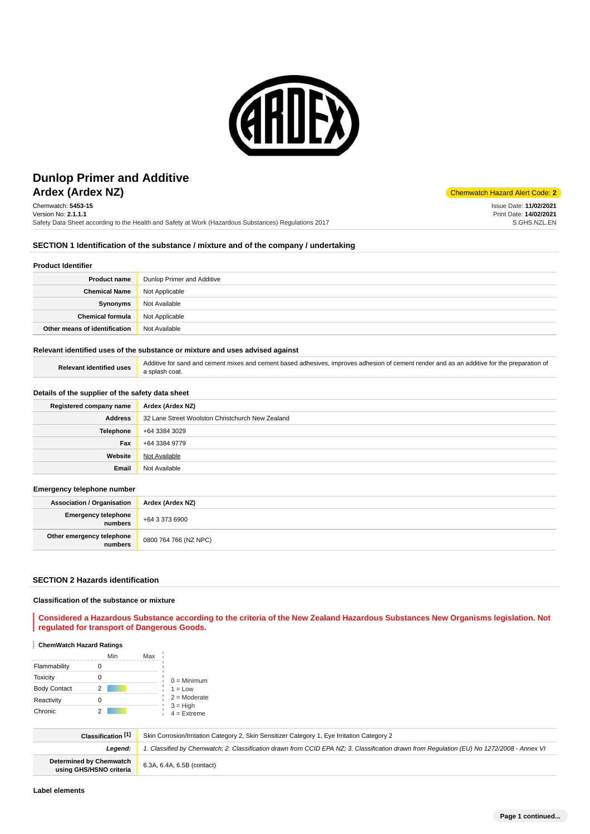

# **Ardex (Ardex NZ)** Chemwatch Hazard Alert Code: **2 Dunlop Primer and Additive**

Chemwatch: **5453-15** Version No: **2.1.1.1** Safety Data Sheet according to the Health and Safety at Work (Hazardous Substances) Regulations 2017

Issue Date: **11/02/2021** Print Date: **14/02/2021** S.GHS.NZL.EN

## **SECTION 1 Identification of the substance / mixture and of the company / undertaking**

#### **Product Identifier**

| <b>Product name</b>                    | Dunlop Primer and Additive |
|----------------------------------------|----------------------------|
| <b>Chemical Name</b>                   | Not Applicable             |
| Synonyms                               | Not Available              |
| <b>Chemical formula</b> Not Applicable |                            |
| Other means of identification          | Not Available              |

#### **Relevant identified uses of the substance or mixture and uses advised against**

Relevant identified uses **Additive for sand and cement mixes and cement based adhesives, improves adhesion of cement render and as an additive for the preparation of** a splash coat.

#### **Details of the supplier of the safety data sheet**

| Registered company name | Ardex (Ardex NZ)                                 |  |  |
|-------------------------|--------------------------------------------------|--|--|
| <b>Address</b>          | 32 Lane Street Woolston Christchurch New Zealand |  |  |
| Telephone               | +64 3384 3029                                    |  |  |
| Fax                     | +64 3384 9779                                    |  |  |
| Website                 | Not Available                                    |  |  |
| Email                   | Not Available                                    |  |  |

#### **Emergency telephone number**

| <b>Association / Organisation</b>    | Ardex (Ardex NZ)      |
|--------------------------------------|-----------------------|
| Emergency telephone<br>numbers       | +64 3 373 6900        |
| Other emergency telephone<br>numbers | 0800 764 766 (NZ NPC) |

#### **SECTION 2 Hazards identification**

## **Classification of the substance or mixture**

**Considered a Hazardous Substance according to the criteria of the New Zealand Hazardous Substances New Organisms legislation. Not regulated for transport of Dangerous Goods.**

### **ChemWatch Hazard Ratings**

|                     | Min | Max |                             |
|---------------------|-----|-----|-----------------------------|
| Flammability        |     |     |                             |
| <b>Toxicity</b>     |     |     | $0 =$ Minimum               |
| <b>Body Contact</b> | 2   |     | $1 = Low$                   |
| Reactivity          |     |     | $2 =$ Moderate              |
| Chronic             |     |     | $3 = High$<br>$4 =$ Extreme |

| Classification <sup>[1]</sup>                             | Skin Corrosion/Irritation Category 2, Skin Sensitizer Category 1, Eye Irritation Category 2                                                |  |
|-----------------------------------------------------------|--------------------------------------------------------------------------------------------------------------------------------------------|--|
| Leaend:                                                   | 1. Classified by Chemwatch; 2. Classification drawn from CCID EPA NZ; 3. Classification drawn from Requlation (EU) No 1272/2008 - Annex VI |  |
| <b>Determined by Chemwatch</b><br>using GHS/HSNO criteria | 6.3A, 6.4A, 6.5B (contact)                                                                                                                 |  |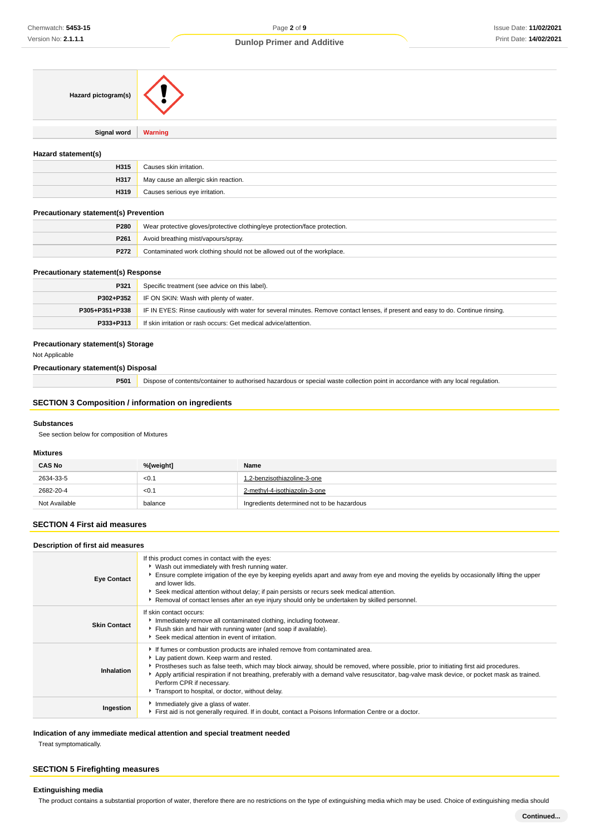| Hazard pictogram(s) |  |
|---------------------|--|
|---------------------|--|

**Signal word Warning**

## **Hazard statement(s)**

| H315 | Causes skin irritation.              |
|------|--------------------------------------|
| H317 | May cause an allergic skin reaction. |
| H319 | Causes serious eye irritation.       |

## **Precautionary statement(s) Prevention**

| <b>P280</b> | Wear protective gloves/protective clothing/eye protection/face protection. |
|-------------|----------------------------------------------------------------------------|
| P261        | Avoid breathing mist/vapours/spray.                                        |
| <b>P272</b> | Contaminated work clothing should not be allowed out of the workplace.     |

#### **Precautionary statement(s) Response**

| P321           | Specific treatment (see advice on this label).                                                                                   |
|----------------|----------------------------------------------------------------------------------------------------------------------------------|
|                | <b>P302+P352</b> IF ON SKIN: Wash with plenty of water.                                                                          |
| P305+P351+P338 | IF IN EYES: Rinse cautiously with water for several minutes. Remove contact lenses, if present and easy to do. Continue rinsing. |
| P333+P313      | If skin irritation or rash occurs: Get medical advice/attention.                                                                 |

#### **Precautionary statement(s) Storage**

Not Applicable

#### **Precautionary statement(s) Disposal**

**P501** Dispose of contents/container to authorised hazardous or special waste collection point in accordance with any local regulation.

#### **SECTION 3 Composition / information on ingredients**

## **Substances**

See section below for composition of Mixtures

#### **Mixtures**

| <b>CAS No</b> | %[weight] | Name                                       |
|---------------|-----------|--------------------------------------------|
| 2634-33-5     | < 0.1     | 1.2-benzisothiazoline-3-one                |
| 2682-20-4     | < 0.1     | 2-methyl-4-isothiazolin-3-one              |
| Not Available | balance   | Ingredients determined not to be hazardous |

#### **SECTION 4 First aid measures**

#### **Description of first aid measures**

| <b>Eye Contact</b>  | If this product comes in contact with the eyes:<br>▶ Wash out immediately with fresh running water.<br>Ensure complete irrigation of the eye by keeping eyelids apart and away from eye and moving the eyelids by occasionally lifting the upper<br>and lower lids.<br>Seek medical attention without delay; if pain persists or recurs seek medical attention.                                                                                                                                   |
|---------------------|---------------------------------------------------------------------------------------------------------------------------------------------------------------------------------------------------------------------------------------------------------------------------------------------------------------------------------------------------------------------------------------------------------------------------------------------------------------------------------------------------|
|                     | Removal of contact lenses after an eye injury should only be undertaken by skilled personnel.                                                                                                                                                                                                                                                                                                                                                                                                     |
| <b>Skin Contact</b> | If skin contact occurs:<br>Inmediately remove all contaminated clothing, including footwear.<br>Filush skin and hair with running water (and soap if available).<br>Seek medical attention in event of irritation.                                                                                                                                                                                                                                                                                |
| Inhalation          | If fumes or combustion products are inhaled remove from contaminated area.<br>Lay patient down. Keep warm and rested.<br>▶ Prostheses such as false teeth, which may block airway, should be removed, where possible, prior to initiating first aid procedures.<br>Apply artificial respiration if not breathing, preferably with a demand valve resuscitator, bag-valve mask device, or pocket mask as trained.<br>Perform CPR if necessary.<br>Transport to hospital, or doctor, without delay. |
| Ingestion           | Immediately give a glass of water.<br>First aid is not generally required. If in doubt, contact a Poisons Information Centre or a doctor.                                                                                                                                                                                                                                                                                                                                                         |

## **Indication of any immediate medical attention and special treatment needed**

Treat symptomatically.

#### **SECTION 5 Firefighting measures**

# **Extinguishing media**

The product contains a substantial proportion of water, therefore there are no restrictions on the type of extinguishing media which may be used. Choice of extinguishing media should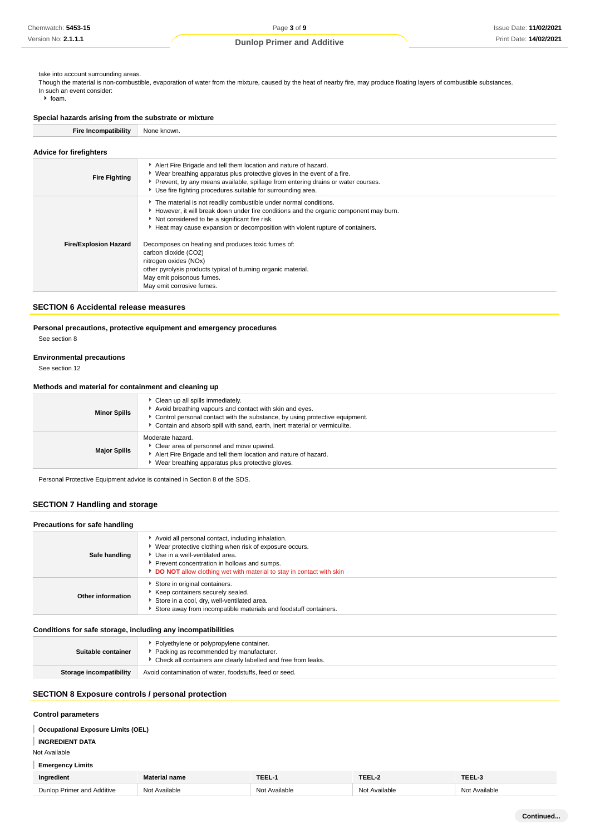take into account surrounding areas.

Though the material is non-combustible, evaporation of water from the mixture, caused by the heat of nearby fire, may produce floating layers of combustible substances. In such an event consider:

 $\blacktriangleright$  foam.

# **Special hazards arising from the substrate or mixture**

| <b>Fire Incompatibility</b> | None known. |
|-----------------------------|-------------|
|-----------------------------|-------------|

| <b>Advice for firefighters</b> |                                                                                                                                                                                                                                                                                                 |  |  |
|--------------------------------|-------------------------------------------------------------------------------------------------------------------------------------------------------------------------------------------------------------------------------------------------------------------------------------------------|--|--|
| <b>Fire Fighting</b>           | Alert Fire Brigade and tell them location and nature of hazard.<br>► Wear breathing apparatus plus protective gloves in the event of a fire.<br>Prevent, by any means available, spillage from entering drains or water courses.<br>Use fire fighting procedures suitable for surrounding area. |  |  |
|                                | The material is not readily combustible under normal conditions.<br>► However, it will break down under fire conditions and the organic component may burn.<br>Not considered to be a significant fire risk.<br>Heat may cause expansion or decomposition with violent rupture of containers.   |  |  |
| <b>Fire/Explosion Hazard</b>   | Decomposes on heating and produces toxic fumes of:<br>carbon dioxide (CO2)<br>nitrogen oxides (NOx)<br>other pyrolysis products typical of burning organic material.<br>May emit poisonous fumes.<br>May emit corrosive fumes.                                                                  |  |  |

### **SECTION 6 Accidental release measures**

#### **Personal precautions, protective equipment and emergency procedures**

See section 8

# **Environmental precautions**

See section 12

# **Methods and material for containment and cleaning up**

| <b>Minor Spills</b> | Clean up all spills immediately.<br>Avoid breathing vapours and contact with skin and eyes.<br>► Control personal contact with the substance, by using protective equipment.<br>Contain and absorb spill with sand, earth, inert material or vermiculite. |
|---------------------|-----------------------------------------------------------------------------------------------------------------------------------------------------------------------------------------------------------------------------------------------------------|
| <b>Major Spills</b> | Moderate hazard.<br>Clear area of personnel and move upwind.<br>Alert Fire Brigade and tell them location and nature of hazard.<br>Wear breathing apparatus plus protective gloves.                                                                       |

Personal Protective Equipment advice is contained in Section 8 of the SDS.

# **SECTION 7 Handling and storage**

| Precautions for safe handling |                                                                                                                                                                                                                                                                        |  |  |
|-------------------------------|------------------------------------------------------------------------------------------------------------------------------------------------------------------------------------------------------------------------------------------------------------------------|--|--|
| Safe handling                 | Avoid all personal contact, including inhalation.<br>▶ Wear protective clothing when risk of exposure occurs.<br>Use in a well-ventilated area.<br>Prevent concentration in hollows and sumps.<br>DO NOT allow clothing wet with material to stay in contact with skin |  |  |
| Other information             | Store in original containers.<br>▶ Keep containers securely sealed.<br>Store in a cool, dry, well-ventilated area.<br>Store away from incompatible materials and foodstuff containers.                                                                                 |  |  |

#### **Conditions for safe storage, including any incompatibilities**

| Suitable container      | • Polyethylene or polypropylene container.<br>Packing as recommended by manufacturer.<br>• Check all containers are clearly labelled and free from leaks. |  |
|-------------------------|-----------------------------------------------------------------------------------------------------------------------------------------------------------|--|
| Storage incompatibility | Avoid contamination of water, foodstuffs, feed or seed.                                                                                                   |  |
|                         |                                                                                                                                                           |  |

# **SECTION 8 Exposure controls / personal protection**

#### **Control parameters**

## **Occupational Exposure Limits (OEL)**

## **INGREDIENT DATA**

Not Available

# **Emergency Limits**

| Ingredient                 | Material name            | TEEL      | TEEL      | TEEL      |
|----------------------------|--------------------------|-----------|-----------|-----------|
| Dunlop Primer and Additive | Available<br><b>NIA+</b> | Available | ^vailable | Available |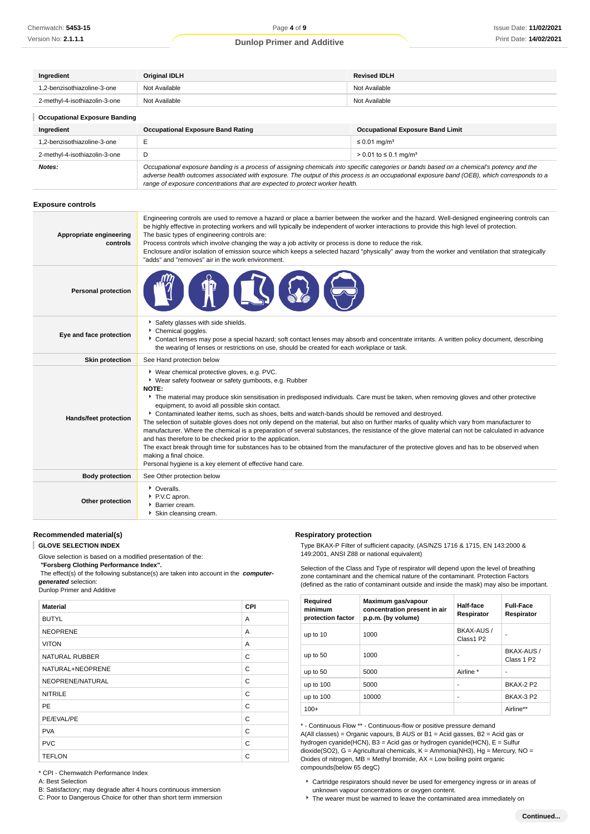| <b>Revised IDLH</b><br>Ingredient<br><b>Original IDLH</b> |                                          |                                         |
|-----------------------------------------------------------|------------------------------------------|-----------------------------------------|
| 1.2-benzisothiazoline-3-one                               | Not Available                            | Not Available                           |
| 2-methyl-4-isothiazolin-3-one                             | Not Available<br>Not Available           |                                         |
| <b>Occupational Exposure Banding</b>                      |                                          |                                         |
| Ingredient                                                | <b>Occupational Exposure Band Rating</b> | <b>Occupational Exposure Band Limit</b> |
| 1.2-benzisothiazoline-3-one                               | -                                        | $\leq 0.01$ mg/m <sup>3</sup>           |

| <b>I.L DUILISOUIRLOIIIIU S UIIU</b> |                                                                                                                                                                                                                                                                                                                                                                          | $-0.0119711$                      |  |
|-------------------------------------|--------------------------------------------------------------------------------------------------------------------------------------------------------------------------------------------------------------------------------------------------------------------------------------------------------------------------------------------------------------------------|-----------------------------------|--|
| 2-methvl-4-isothiazolin-3-one       |                                                                                                                                                                                                                                                                                                                                                                          | > 0.01 to ≤ 0.1 mg/m <sup>3</sup> |  |
| Notes:                              | Occupational exposure banding is a process of assigning chemicals into specific categories or bands based on a chemical's potency and the<br>adverse health outcomes associated with exposure. The output of this process is an occupational exposure band (OEB), which corresponds to a<br>range of exposure concentrations that are expected to protect worker health. |                                   |  |

#### **Exposure controls**

| Appropriate engineering<br>controls | Engineering controls are used to remove a hazard or place a barrier between the worker and the hazard. Well-designed engineering controls can<br>be highly effective in protecting workers and will typically be independent of worker interactions to provide this high level of protection.<br>The basic types of engineering controls are:<br>Process controls which involve changing the way a job activity or process is done to reduce the risk.<br>Enclosure and/or isolation of emission source which keeps a selected hazard "physically" away from the worker and ventilation that strategically<br>"adds" and "removes" air in the work environment.                                                                                                                                                                                                                                                                                                                                                     |
|-------------------------------------|---------------------------------------------------------------------------------------------------------------------------------------------------------------------------------------------------------------------------------------------------------------------------------------------------------------------------------------------------------------------------------------------------------------------------------------------------------------------------------------------------------------------------------------------------------------------------------------------------------------------------------------------------------------------------------------------------------------------------------------------------------------------------------------------------------------------------------------------------------------------------------------------------------------------------------------------------------------------------------------------------------------------|
| <b>Personal protection</b>          |                                                                                                                                                                                                                                                                                                                                                                                                                                                                                                                                                                                                                                                                                                                                                                                                                                                                                                                                                                                                                     |
| Eye and face protection             | Safety glasses with side shields.<br>Chemical goggles.<br>Contact lenses may pose a special hazard; soft contact lenses may absorb and concentrate irritants. A written policy document, describing<br>the wearing of lenses or restrictions on use, should be created for each workplace or task.                                                                                                                                                                                                                                                                                                                                                                                                                                                                                                                                                                                                                                                                                                                  |
| <b>Skin protection</b>              | See Hand protection below                                                                                                                                                                                                                                                                                                                                                                                                                                                                                                                                                                                                                                                                                                                                                                                                                                                                                                                                                                                           |
| Hands/feet protection               | ▶ Wear chemical protective gloves, e.g. PVC.<br>▶ Wear safety footwear or safety gumboots, e.g. Rubber<br>NOTE:<br>The material may produce skin sensitisation in predisposed individuals. Care must be taken, when removing gloves and other protective<br>equipment, to avoid all possible skin contact.<br>▶ Contaminated leather items, such as shoes, belts and watch-bands should be removed and destroyed.<br>The selection of suitable gloves does not only depend on the material, but also on further marks of quality which vary from manufacturer to<br>manufacturer. Where the chemical is a preparation of several substances, the resistance of the glove material can not be calculated in advance<br>and has therefore to be checked prior to the application.<br>The exact break through time for substances has to be obtained from the manufacturer of the protective gloves and has to be observed when<br>making a final choice.<br>Personal hygiene is a key element of effective hand care. |
| <b>Body protection</b>              | See Other protection below                                                                                                                                                                                                                                                                                                                                                                                                                                                                                                                                                                                                                                                                                                                                                                                                                                                                                                                                                                                          |
| Other protection                    | • Overalls.<br>P.V.C apron.<br>Barrier cream.<br>Skin cleansing cream.                                                                                                                                                                                                                                                                                                                                                                                                                                                                                                                                                                                                                                                                                                                                                                                                                                                                                                                                              |

**Respiratory protection**

# **Recommended material(s)**

T **GLOVE SELECTION INDEX**

Glove selection is based on a modified presentation of the:

 **"Forsberg Clothing Performance Index".**

 The effect(s) of the following substance(s) are taken into account in the **computergenerated** selection:

Dunlop Primer and Additive

| <b>Material</b>       | <b>CPI</b>   |
|-----------------------|--------------|
| <b>BUTYL</b>          | A            |
| <b>NEOPRENE</b>       | A            |
| <b>VITON</b>          | A            |
| <b>NATURAL RUBBER</b> | C            |
| NATURAL+NEOPRENE      | $\mathsf{C}$ |
| NEOPRENE/NATURAL      | C            |
| <b>NITRILE</b>        | C            |
| <b>PE</b>             | C            |
| PE/EVAL/PE            | C            |
| <b>PVA</b>            | C            |
| <b>PVC</b>            | C            |
| <b>TEFLON</b>         | C            |

149:2001, ANSI Z88 or national equivalent) Selection of the Class and Type of respirator will depend upon the level of breathing zone contaminant and the chemical nature of the contaminant. Protection Factors

Type BKAX-P Filter of sufficient capacity. (AS/NZS 1716 & 1715, EN 143:2000 &

| (defined as the ratio of contaminant outside and inside the mask) may also be important. |  |
|------------------------------------------------------------------------------------------|--|

| Required<br>minimum<br>protection factor | Maximum gas/vapour<br>concentration present in air<br>p.p.m. (by volume) | Half-face<br>Respirator | <b>Full-Face</b><br>Respirator |
|------------------------------------------|--------------------------------------------------------------------------|-------------------------|--------------------------------|
| up to 10                                 | 1000                                                                     | BKAX-AUS /<br>Class1 P2 |                                |
| up to 50                                 | 1000                                                                     |                         | BKAX-AUS /<br>Class 1 P2       |
| up to 50                                 | 5000                                                                     | Airline *               | ٠                              |
| up to $100$                              | 5000                                                                     | ۰                       | <b>BKAX-2 P2</b>               |
| up to $100$                              | 10000                                                                    | ۰                       | <b>BKAX-3 P2</b>               |
| $100+$                                   |                                                                          |                         | Airline**                      |

\* - Continuous Flow \*\* - Continuous-flow or positive pressure demand A(All classes) = Organic vapours, B AUS or  $B1 = Acid$  gasses, B2 = Acid gas or hydrogen cyanide(HCN), B3 = Acid gas or hydrogen cyanide(HCN), E = Sulfur dioxide(SO2), G = Agricultural chemicals, K = Ammonia(NH3), Hg = Mercury, NO = Oxides of nitrogen,  $MB =$  Methyl bromide,  $AX =$  Low boiling point organic compounds(below 65 degC)

\* CPI - Chemwatch Performance Index

A: Best Selection

B: Satisfactory; may degrade after 4 hours continuous immersion

C: Poor to Dangerous Choice for other than short term immersion

Cartridge respirators should never be used for emergency ingress or in areas of unknown vapour concentrations or oxygen content.

The wearer must be warned to leave the contaminated area immediately on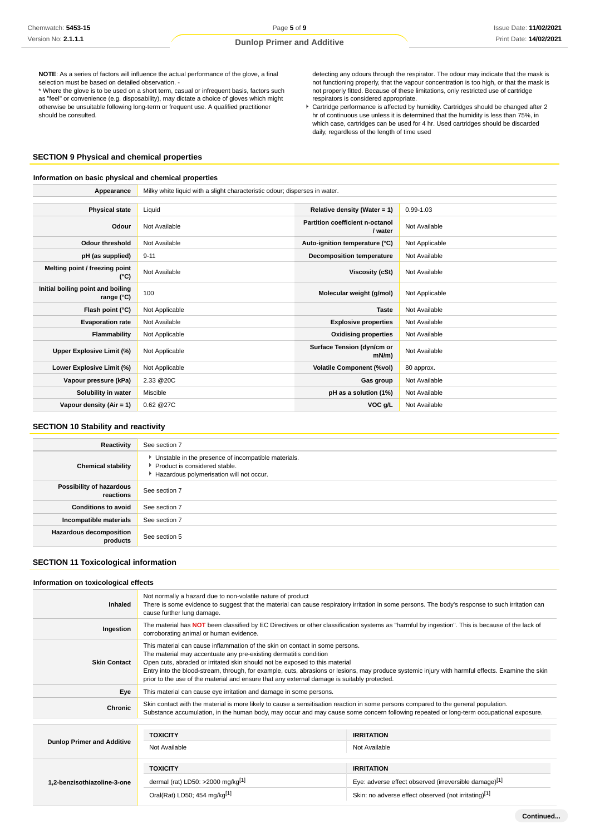**NOTE**: As a series of factors will influence the actual performance of the glove, a final selection must be based on detailed observation.

\* Where the glove is to be used on a short term, casual or infrequent basis, factors such as "feel" or convenience (e.g. disposability), may dictate a choice of gloves which might otherwise be unsuitable following long-term or frequent use. A qualified practitioner should be consulted.

detecting any odours through the respirator. The odour may indicate that the mask is not functioning properly, that the vapour concentration is too high, or that the mask is not properly fitted. Because of these limitations, only restricted use of cartridge respirators is considered appropriate.

Cartridge performance is affected by humidity. Cartridges should be changed after 2 hr of continuous use unless it is determined that the humidity is less than 75%, in which case, cartridges can be used for 4 hr. Used cartridges should be discarded daily, regardless of the length of time used

# **SECTION 9 Physical and chemical properties**

## **Information on basic physical and chemical properties**

| Appearance                                      | Milky white liquid with a slight characteristic odour; disperses in water. |                                            |                |
|-------------------------------------------------|----------------------------------------------------------------------------|--------------------------------------------|----------------|
|                                                 |                                                                            |                                            |                |
| <b>Physical state</b>                           | Liquid                                                                     | Relative density (Water = $1$ )            | 0.99-1.03      |
| Odour                                           | Not Available                                                              | Partition coefficient n-octanol<br>/ water | Not Available  |
| <b>Odour threshold</b>                          | Not Available                                                              | Auto-ignition temperature (°C)             | Not Applicable |
| pH (as supplied)                                | $9 - 11$                                                                   | Decomposition temperature                  | Not Available  |
| Melting point / freezing point<br>$(^{\circ}C)$ | Not Available                                                              | Viscosity (cSt)                            | Not Available  |
| Initial boiling point and boiling<br>range (°C) | 100                                                                        | Molecular weight (g/mol)                   | Not Applicable |
| Flash point (°C)                                | Not Applicable                                                             | <b>Taste</b>                               | Not Available  |
| <b>Evaporation rate</b>                         | Not Available                                                              | <b>Explosive properties</b>                | Not Available  |
| Flammability                                    | Not Applicable                                                             | <b>Oxidising properties</b>                | Not Available  |
| Upper Explosive Limit (%)                       | Not Applicable                                                             | Surface Tension (dyn/cm or<br>mN/m         | Not Available  |
| Lower Explosive Limit (%)                       | Not Applicable                                                             | <b>Volatile Component (%vol)</b>           | 80 approx.     |
| Vapour pressure (kPa)                           | 2.33 @20C                                                                  | Gas group                                  | Not Available  |
| Solubility in water                             | Miscible                                                                   | pH as a solution (1%)                      | Not Available  |
| Vapour density $(Air = 1)$                      | 0.62 @27C                                                                  | VOC g/L                                    | Not Available  |

# **SECTION 10 Stability and reactivity**

| Reactivity                                 | See section 7                                                                                                                        |
|--------------------------------------------|--------------------------------------------------------------------------------------------------------------------------------------|
| <b>Chemical stability</b>                  | • Unstable in the presence of incompatible materials.<br>▶ Product is considered stable.<br>Hazardous polymerisation will not occur. |
| Possibility of hazardous<br>reactions      | See section 7                                                                                                                        |
| <b>Conditions to avoid</b>                 | See section 7                                                                                                                        |
| Incompatible materials                     | See section 7                                                                                                                        |
| <b>Hazardous decomposition</b><br>products | See section 5                                                                                                                        |

## **SECTION 11 Toxicological information**

# **Information on toxicological effects**

| Inhaled                           | Not normally a hazard due to non-volatile nature of product<br>There is some evidence to suggest that the material can cause respiratory irritation in some persons. The body's response to such irritation can<br>cause further lung damage.                                                                                                                                                                                                                                        |                                                      |  |
|-----------------------------------|--------------------------------------------------------------------------------------------------------------------------------------------------------------------------------------------------------------------------------------------------------------------------------------------------------------------------------------------------------------------------------------------------------------------------------------------------------------------------------------|------------------------------------------------------|--|
| Ingestion                         | The material has NOT been classified by EC Directives or other classification systems as "harmful by ingestion". This is because of the lack of<br>corroborating animal or human evidence.                                                                                                                                                                                                                                                                                           |                                                      |  |
| <b>Skin Contact</b>               | This material can cause inflammation of the skin on contact in some persons.<br>The material may accentuate any pre-existing dermatitis condition<br>Open cuts, abraded or irritated skin should not be exposed to this material<br>Entry into the blood-stream, through, for example, cuts, abrasions or lesions, may produce systemic injury with harmful effects. Examine the skin<br>prior to the use of the material and ensure that any external damage is suitably protected. |                                                      |  |
| Eye                               | This material can cause eye irritation and damage in some persons.                                                                                                                                                                                                                                                                                                                                                                                                                   |                                                      |  |
| Chronic                           | Skin contact with the material is more likely to cause a sensitisation reaction in some persons compared to the general population.<br>Substance accumulation, in the human body, may occur and may cause some concern following repeated or long-term occupational exposure.                                                                                                                                                                                                        |                                                      |  |
|                                   |                                                                                                                                                                                                                                                                                                                                                                                                                                                                                      |                                                      |  |
|                                   | <b>TOXICITY</b>                                                                                                                                                                                                                                                                                                                                                                                                                                                                      | <b>IRRITATION</b>                                    |  |
| <b>Dunlop Primer and Additive</b> | Not Available                                                                                                                                                                                                                                                                                                                                                                                                                                                                        | Not Available                                        |  |
|                                   | <b>TOXICITY</b>                                                                                                                                                                                                                                                                                                                                                                                                                                                                      | <b>IRRITATION</b>                                    |  |
| 1,2-benzisothiazoline-3-one       | dermal (rat) LD50: $>2000$ mg/kg <sup>[1]</sup><br>Eye: adverse effect observed (irreversible damage)[1]                                                                                                                                                                                                                                                                                                                                                                             |                                                      |  |
|                                   | Oral(Rat) LD50; 454 mg/kg[1]                                                                                                                                                                                                                                                                                                                                                                                                                                                         | Skin: no adverse effect observed (not irritating)[1] |  |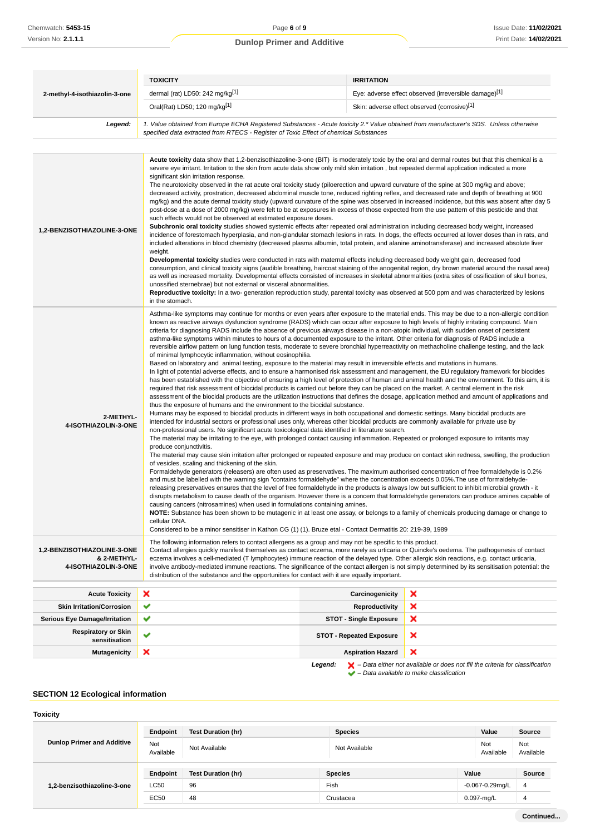|                                                                    | <b>TOXICITY</b>                                                                                                                                                                                                                                                                                                                                                                                                                                                                                                                                                                                                                                                                                                                                                                                                                                                                                                                                                                                                                                                                                                                                                                                                                                                                                                                                                                                                                                                                                                                                                                                                                                                                                                                                                                                                                                                                                                                                                                                                                                                                                                                                                                                                                                                                                                                                                                                                                                                                                                                                                                                                                                                                                                                                                                                                                                                                                                                                                                                                                                                                                                                                                                                                                                                                                                       | <b>IRRITATION</b>                 |                                              |  |
|--------------------------------------------------------------------|-----------------------------------------------------------------------------------------------------------------------------------------------------------------------------------------------------------------------------------------------------------------------------------------------------------------------------------------------------------------------------------------------------------------------------------------------------------------------------------------------------------------------------------------------------------------------------------------------------------------------------------------------------------------------------------------------------------------------------------------------------------------------------------------------------------------------------------------------------------------------------------------------------------------------------------------------------------------------------------------------------------------------------------------------------------------------------------------------------------------------------------------------------------------------------------------------------------------------------------------------------------------------------------------------------------------------------------------------------------------------------------------------------------------------------------------------------------------------------------------------------------------------------------------------------------------------------------------------------------------------------------------------------------------------------------------------------------------------------------------------------------------------------------------------------------------------------------------------------------------------------------------------------------------------------------------------------------------------------------------------------------------------------------------------------------------------------------------------------------------------------------------------------------------------------------------------------------------------------------------------------------------------------------------------------------------------------------------------------------------------------------------------------------------------------------------------------------------------------------------------------------------------------------------------------------------------------------------------------------------------------------------------------------------------------------------------------------------------------------------------------------------------------------------------------------------------------------------------------------------------------------------------------------------------------------------------------------------------------------------------------------------------------------------------------------------------------------------------------------------------------------------------------------------------------------------------------------------------------------------------------------------------------------------------------------------------|-----------------------------------|----------------------------------------------|--|
| 2-methyl-4-isothiazolin-3-one                                      | dermal (rat) LD50: 242 mg/kg <sup>[1]</sup><br>Eye: adverse effect observed (irreversible damage)[1]                                                                                                                                                                                                                                                                                                                                                                                                                                                                                                                                                                                                                                                                                                                                                                                                                                                                                                                                                                                                                                                                                                                                                                                                                                                                                                                                                                                                                                                                                                                                                                                                                                                                                                                                                                                                                                                                                                                                                                                                                                                                                                                                                                                                                                                                                                                                                                                                                                                                                                                                                                                                                                                                                                                                                                                                                                                                                                                                                                                                                                                                                                                                                                                                                  |                                   |                                              |  |
|                                                                    | Oral(Rat) LD50; 120 mg/kg[1]                                                                                                                                                                                                                                                                                                                                                                                                                                                                                                                                                                                                                                                                                                                                                                                                                                                                                                                                                                                                                                                                                                                                                                                                                                                                                                                                                                                                                                                                                                                                                                                                                                                                                                                                                                                                                                                                                                                                                                                                                                                                                                                                                                                                                                                                                                                                                                                                                                                                                                                                                                                                                                                                                                                                                                                                                                                                                                                                                                                                                                                                                                                                                                                                                                                                                          |                                   | Skin: adverse effect observed (corrosive)[1] |  |
| Legend:                                                            | 1. Value obtained from Europe ECHA Registered Substances - Acute toxicity 2.* Value obtained from manufacturer's SDS. Unless otherwise<br>specified data extracted from RTECS - Register of Toxic Effect of chemical Substances                                                                                                                                                                                                                                                                                                                                                                                                                                                                                                                                                                                                                                                                                                                                                                                                                                                                                                                                                                                                                                                                                                                                                                                                                                                                                                                                                                                                                                                                                                                                                                                                                                                                                                                                                                                                                                                                                                                                                                                                                                                                                                                                                                                                                                                                                                                                                                                                                                                                                                                                                                                                                                                                                                                                                                                                                                                                                                                                                                                                                                                                                       |                                   |                                              |  |
|                                                                    |                                                                                                                                                                                                                                                                                                                                                                                                                                                                                                                                                                                                                                                                                                                                                                                                                                                                                                                                                                                                                                                                                                                                                                                                                                                                                                                                                                                                                                                                                                                                                                                                                                                                                                                                                                                                                                                                                                                                                                                                                                                                                                                                                                                                                                                                                                                                                                                                                                                                                                                                                                                                                                                                                                                                                                                                                                                                                                                                                                                                                                                                                                                                                                                                                                                                                                                       |                                   |                                              |  |
| 1,2-BENZISOTHIAZOLINE-3-ONE                                        | Acute toxicity data show that 1,2-benzisothiazoline-3-one (BIT) is moderately toxic by the oral and dermal routes but that this chemical is a<br>severe eye irritant. Irritation to the skin from acute data show only mild skin irritation, but repeated dermal application indicated a more<br>significant skin irritation response.<br>The neurotoxicity observed in the rat acute oral toxicity study (piloerection and upward curvature of the spine at 300 mg/kg and above;<br>decreased activity, prostration, decreased abdominal muscle tone, reduced righting reflex, and decreased rate and depth of breathing at 900<br>mg/kg) and the acute dermal toxicity study (upward curvature of the spine was observed in increased incidence, but this was absent after day 5<br>post-dose at a dose of 2000 mg/kg) were felt to be at exposures in excess of those expected from the use pattern of this pesticide and that<br>such effects would not be observed at estimated exposure doses.<br>Subchronic oral toxicity studies showed systemic effects after repeated oral administration including decreased body weight, increased<br>incidence of forestomach hyperplasia, and non-glandular stomach lesions in rats. In dogs, the effects occurred at lower doses than in rats, and<br>included alterations in blood chemistry (decreased plasma albumin, total protein, and alanine aminotransferase) and increased absolute liver<br>weight.<br>Developmental toxicity studies were conducted in rats with maternal effects including decreased body weight gain, decreased food<br>consumption, and clinical toxicity signs (audible breathing, haircoat staining of the anogenital region, dry brown material around the nasal area)<br>as well as increased mortality. Developmental effects consisted of increases in skeletal abnormalities (extra sites of ossification of skull bones,<br>unossified sternebrae) but not external or visceral abnormalities.<br>Reproductive toxicity: In a two- generation reproduction study, parental toxicity was observed at 500 ppm and was characterized by lesions<br>in the stomach.                                                                                                                                                                                                                                                                                                                                                                                                                                                                                                                                                                                                                                                                                                                                                                                                                                                                                                                                                                                                                                                                                                                                                                  |                                   |                                              |  |
| 2-METHYL-<br>4-ISOTHIAZOLIN-3-ONE                                  | Asthma-like symptoms may continue for months or even years after exposure to the material ends. This may be due to a non-allergic condition<br>known as reactive airways dysfunction syndrome (RADS) which can occur after exposure to high levels of highly irritating compound. Main<br>criteria for diagnosing RADS include the absence of previous airways disease in a non-atopic individual, with sudden onset of persistent<br>asthma-like symptoms within minutes to hours of a documented exposure to the irritant. Other criteria for diagnosis of RADS include a<br>reversible airflow pattern on lung function tests, moderate to severe bronchial hyperreactivity on methacholine challenge testing, and the lack<br>of minimal lymphocytic inflammation, without eosinophilia.<br>Based on laboratory and animal testing, exposure to the material may result in irreversible effects and mutations in humans.<br>In light of potential adverse effects, and to ensure a harmonised risk assessment and management, the EU regulatory framework for biocides<br>has been established with the objective of ensuring a high level of protection of human and animal health and the environment. To this aim, it is<br>required that risk assessment of biocidal products is carried out before they can be placed on the market. A central element in the risk<br>assessment of the biocidal products are the utilization instructions that defines the dosage, application method and amount of applications and<br>thus the exposure of humans and the environment to the biocidal substance.<br>Humans may be exposed to biocidal products in different ways in both occupational and domestic settings. Many biocidal products are<br>intended for industrial sectors or professional uses only, whereas other biocidal products are commonly available for private use by<br>non-professional users. No significant acute toxicological data identified in literature search.<br>The material may be irritating to the eye, with prolonged contact causing inflammation. Repeated or prolonged exposure to irritants may<br>produce conjunctivitis.<br>The material may cause skin irritation after prolonged or repeated exposure and may produce on contact skin redness, swelling, the production<br>of vesicles, scaling and thickening of the skin.<br>Formaldehyde generators (releasers) are often used as preservatives. The maximum authorised concentration of free formaldehyde is 0.2%<br>and must be labelled with the warning sign "contains formaldehyde" where the concentration exceeds 0.05%. The use of formaldehyde-<br>releasing preservatives ensures that the level of free formaldehyde in the products is always low but sufficient to inhibit microbial growth - it<br>disrupts metabolism to cause death of the organism. However there is a concern that formaldehyde generators can produce amines capable of<br>causing cancers (nitrosamines) when used in formulations containing amines.<br>NOTE: Substance has been shown to be mutagenic in at least one assay, or belongs to a family of chemicals producing damage or change to<br>cellular DNA.<br>Considered to be a minor sensitiser in Kathon CG (1) (1). Bruze etal - Contact Dermatitis 20: 219-39, 1989 |                                   |                                              |  |
| 1,2-BENZISOTHIAZOLINE-3-ONE<br>& 2-METHYL-<br>4-ISOTHIAZOLIN-3-ONE | The following information refers to contact allergens as a group and may not be specific to this product.<br>Contact allergies quickly manifest themselves as contact eczema, more rarely as urticaria or Quincke's oedema. The pathogenesis of contact<br>eczema involves a cell-mediated (T lymphocytes) immune reaction of the delayed type. Other allergic skin reactions, e.g. contact urticaria,<br>involve antibody-mediated immune reactions. The significance of the contact allergen is not simply determined by its sensitisation potential: the<br>distribution of the substance and the opportunities for contact with it are equally important.                                                                                                                                                                                                                                                                                                                                                                                                                                                                                                                                                                                                                                                                                                                                                                                                                                                                                                                                                                                                                                                                                                                                                                                                                                                                                                                                                                                                                                                                                                                                                                                                                                                                                                                                                                                                                                                                                                                                                                                                                                                                                                                                                                                                                                                                                                                                                                                                                                                                                                                                                                                                                                                         |                                   |                                              |  |
|                                                                    | ×                                                                                                                                                                                                                                                                                                                                                                                                                                                                                                                                                                                                                                                                                                                                                                                                                                                                                                                                                                                                                                                                                                                                                                                                                                                                                                                                                                                                                                                                                                                                                                                                                                                                                                                                                                                                                                                                                                                                                                                                                                                                                                                                                                                                                                                                                                                                                                                                                                                                                                                                                                                                                                                                                                                                                                                                                                                                                                                                                                                                                                                                                                                                                                                                                                                                                                                     |                                   | ×                                            |  |
| <b>Acute Toxicity</b><br><b>Skin Irritation/Corrosion</b>          | ✔                                                                                                                                                                                                                                                                                                                                                                                                                                                                                                                                                                                                                                                                                                                                                                                                                                                                                                                                                                                                                                                                                                                                                                                                                                                                                                                                                                                                                                                                                                                                                                                                                                                                                                                                                                                                                                                                                                                                                                                                                                                                                                                                                                                                                                                                                                                                                                                                                                                                                                                                                                                                                                                                                                                                                                                                                                                                                                                                                                                                                                                                                                                                                                                                                                                                                                                     | Carcinogenicity<br>Reproductivity | ×                                            |  |
| <b>Serious Eye Damage/Irritation</b>                               | ✔                                                                                                                                                                                                                                                                                                                                                                                                                                                                                                                                                                                                                                                                                                                                                                                                                                                                                                                                                                                                                                                                                                                                                                                                                                                                                                                                                                                                                                                                                                                                                                                                                                                                                                                                                                                                                                                                                                                                                                                                                                                                                                                                                                                                                                                                                                                                                                                                                                                                                                                                                                                                                                                                                                                                                                                                                                                                                                                                                                                                                                                                                                                                                                                                                                                                                                                     | <b>STOT - Single Exposure</b>     | ×                                            |  |
| <b>Respiratory or Skin</b><br>sensitisation                        | ✔                                                                                                                                                                                                                                                                                                                                                                                                                                                                                                                                                                                                                                                                                                                                                                                                                                                                                                                                                                                                                                                                                                                                                                                                                                                                                                                                                                                                                                                                                                                                                                                                                                                                                                                                                                                                                                                                                                                                                                                                                                                                                                                                                                                                                                                                                                                                                                                                                                                                                                                                                                                                                                                                                                                                                                                                                                                                                                                                                                                                                                                                                                                                                                                                                                                                                                                     | <b>STOT - Repeated Exposure</b>   | ×                                            |  |
| <b>Mutagenicity</b>                                                | ×                                                                                                                                                                                                                                                                                                                                                                                                                                                                                                                                                                                                                                                                                                                                                                                                                                                                                                                                                                                                                                                                                                                                                                                                                                                                                                                                                                                                                                                                                                                                                                                                                                                                                                                                                                                                                                                                                                                                                                                                                                                                                                                                                                                                                                                                                                                                                                                                                                                                                                                                                                                                                                                                                                                                                                                                                                                                                                                                                                                                                                                                                                                                                                                                                                                                                                                     | <b>Aspiration Hazard</b>          | ×                                            |  |

**Legend:**  $\mathbf{X}$  – Data either not available or does not fill the criteria for classification – Data available to make classification

# **SECTION 12 Ecological information**

#### **Toxicity**

| <b>Dunlop Primer and Additive</b> | Endpoint         | <b>Test Duration (hr)</b> | <b>Species</b> | Value                | Source           |
|-----------------------------------|------------------|---------------------------|----------------|----------------------|------------------|
|                                   | Not<br>Available | Not Available             | Not Available  | Not<br>Available     | Not<br>Available |
| 1,2-benzisothiazoline-3-one       | Endpoint         | <b>Test Duration (hr)</b> | <b>Species</b> | Value                | Source           |
|                                   | <b>LC50</b>      | 96                        | Fish           | $-0.067 - 0.29$ mg/L | 4                |
|                                   | <b>EC50</b>      | 48                        | Crustacea      | 0.097-mg/L           | 4                |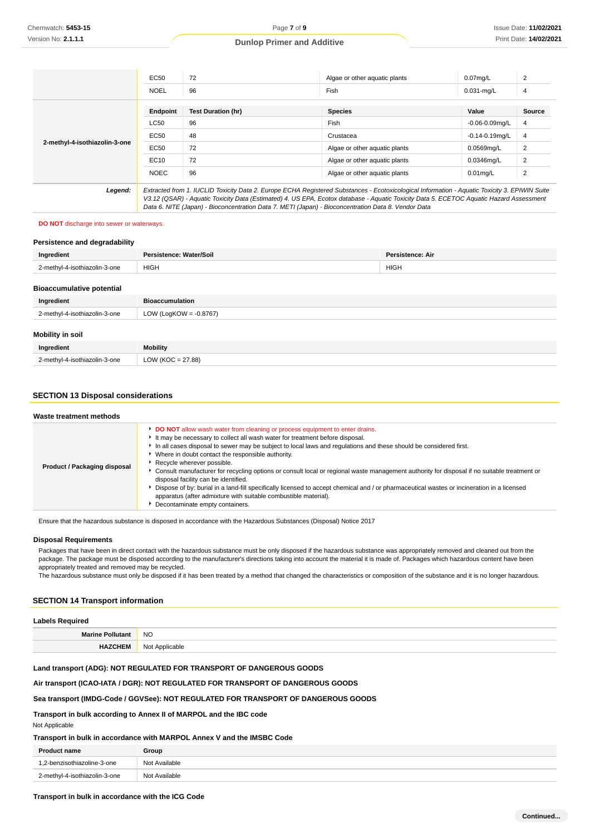|                               | EC50        | 72                                                                                                                                                                                                                                                                                       | Algae or other aquatic plants | $0.07$ mg/L         | 2              |
|-------------------------------|-------------|------------------------------------------------------------------------------------------------------------------------------------------------------------------------------------------------------------------------------------------------------------------------------------------|-------------------------------|---------------------|----------------|
|                               | <b>NOEL</b> | 96                                                                                                                                                                                                                                                                                       | Fish                          | $0.031$ -mg/L       | 4              |
|                               | Endpoint    | <b>Test Duration (hr)</b>                                                                                                                                                                                                                                                                | <b>Species</b>                | Value               | <b>Source</b>  |
| 2-methyl-4-isothiazolin-3-one | <b>LC50</b> | 96                                                                                                                                                                                                                                                                                       | Fish                          | $-0.06 - 0.09$ mg/L | 4              |
|                               | EC50        | 48                                                                                                                                                                                                                                                                                       | Crustacea                     | $-0.14 - 0.19$ mg/L | $\overline{4}$ |
|                               | EC50        | 72                                                                                                                                                                                                                                                                                       | Algae or other aguatic plants | 0.0569mg/L          | 2              |
|                               | EC10        | 72                                                                                                                                                                                                                                                                                       | Algae or other aguatic plants | $0.0346$ mg/L       | 2              |
|                               | <b>NOEC</b> | 96                                                                                                                                                                                                                                                                                       | Algae or other aguatic plants | $0.01$ mg/L         | $\overline{2}$ |
| Legend:                       |             | Extracted from 1. IUCLID Toxicity Data 2. Europe ECHA Registered Substances - Ecotoxicological Information - Aquatic Toxicity 3. EPIWIN Suite<br>V3.12 (QSAR) - Aquatic Toxicity Data (Estimated) 4. US EPA, Ecotox database - Aquatic Toxicity Data 5. ECETOC Aquatic Hazard Assessment |                               |                     |                |

Data 6. NITE (Japan) - Bioconcentration Data 7. METI (Japan) - Bioconcentration Data 8. Vendor Data

**DO NOT** discharge into sewer or waterways.

| Persistence and degradability    |                           |                         |
|----------------------------------|---------------------------|-------------------------|
| Ingredient                       | Persistence: Water/Soil   | <b>Persistence: Air</b> |
| 2-methyl-4-isothiazolin-3-one    | <b>HIGH</b>               | <b>HIGH</b>             |
|                                  |                           |                         |
| <b>Bioaccumulative potential</b> |                           |                         |
| Ingredient                       | <b>Bioaccumulation</b>    |                         |
| 2-methyl-4-isothiazolin-3-one    | LOW (LogKOW = $-0.8767$ ) |                         |
|                                  |                           |                         |
| Mobility in soil                 |                           |                         |
| Ingredient                       | <b>Mobility</b>           |                         |
| 2-methyl-4-isothiazolin-3-one    | LOW ( $KOC = 27.88$ )     |                         |

# **SECTION 13 Disposal considerations**

| Waste treatment methods             |                                                                                                                                                                                                                                                                                                                                                                                                                                                                                                                                                                                                                                                                                                                                                                                                                             |
|-------------------------------------|-----------------------------------------------------------------------------------------------------------------------------------------------------------------------------------------------------------------------------------------------------------------------------------------------------------------------------------------------------------------------------------------------------------------------------------------------------------------------------------------------------------------------------------------------------------------------------------------------------------------------------------------------------------------------------------------------------------------------------------------------------------------------------------------------------------------------------|
| <b>Product / Packaging disposal</b> | <b>DO NOT</b> allow wash water from cleaning or process equipment to enter drains.<br>It may be necessary to collect all wash water for treatment before disposal.<br>In all cases disposal to sewer may be subject to local laws and regulations and these should be considered first.<br>• Where in doubt contact the responsible authority.<br>Recycle wherever possible.<br>► Consult manufacturer for recycling options or consult local or regional waste management authority for disposal if no suitable treatment or<br>disposal facility can be identified.<br>> Dispose of by: burial in a land-fill specifically licensed to accept chemical and / or pharmaceutical wastes or incineration in a licensed<br>apparatus (after admixture with suitable combustible material).<br>Decontaminate empty containers. |

Ensure that the hazardous substance is disposed in accordance with the Hazardous Substances (Disposal) Notice 2017

#### **Disposal Requirements**

Packages that have been in direct contact with the hazardous substance must be only disposed if the hazardous substance was appropriately removed and cleaned out from the package. The package must be disposed according to the manufacturer's directions taking into account the material it is made of. Packages which hazardous content have been appropriately treated and removed may be recycled.

The hazardous substance must only be disposed if it has been treated by a method that changed the characteristics or composition of the substance and it is no longer hazardous.

# **SECTION 14 Transport information**

| <b>Labels Required</b>  |                |
|-------------------------|----------------|
| <b>Marine Pollutant</b> | <b>NO</b>      |
|                         | Not Applicable |

# **Land transport (ADG): NOT REGULATED FOR TRANSPORT OF DANGEROUS GOODS**

#### **Air transport (ICAO-IATA / DGR): NOT REGULATED FOR TRANSPORT OF DANGEROUS GOODS**

# **Sea transport (IMDG-Code / GGVSee): NOT REGULATED FOR TRANSPORT OF DANGEROUS GOODS**

**Transport in bulk according to Annex II of MARPOL and the IBC code**

Not Applicable

#### **Transport in bulk in accordance with MARPOL Annex V and the IMSBC Code**

| <b>Product name</b>           | Group         |
|-------------------------------|---------------|
| 1,2-benzisothiazoline-3-one   | Not Available |
| 2-methyl-4-isothiazolin-3-one | Not Available |

# **Transport in bulk in accordance with the ICG Code**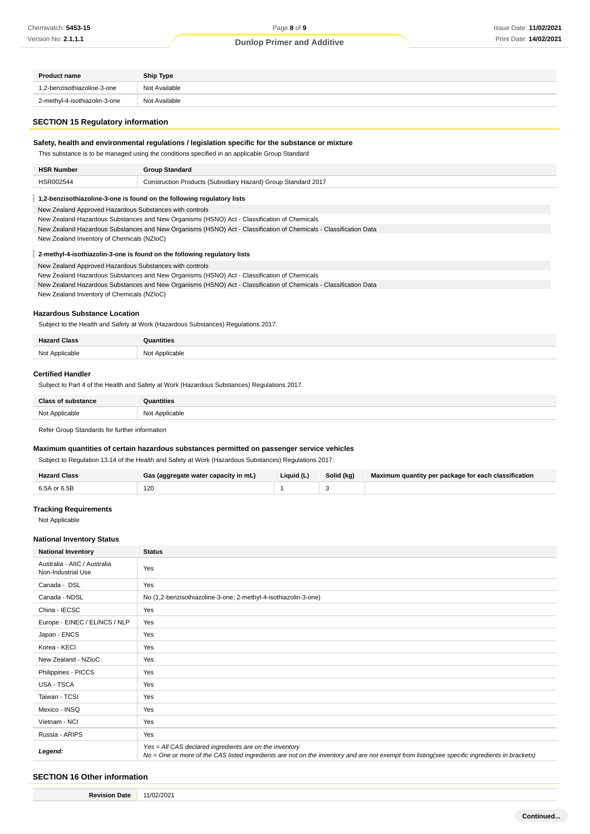| <b>Product name</b>           | Ship Type     |
|-------------------------------|---------------|
| 1.2-benzisothiazoline-3-one   | Not Available |
| 2-methyl-4-isothiazolin-3-one | Not Available |

#### **SECTION 15 Regulatory information**

# **Safety, health and environmental regulations / legislation specific for the substance or mixture**

This substance is to be managed using the conditions specified in an applicable Group Standard

| <b>HSR Number</b>  | Group Standard                                                          |
|--------------------|-------------------------------------------------------------------------|
| HSR002544<br>_____ | Construction Products (Subsidiary Hazard) Group Standard 2017<br>.<br>. |

#### **1,2-benzisothiazoline-3-one is found on the following regulatory lists**

New Zealand Approved Hazardous Substances with controls

- New Zealand Hazardous Substances and New Organisms (HSNO) Act Classification of Chemicals
- New Zealand Hazardous Substances and New Organisms (HSNO) Act Classification of Chemicals Classification Data

New Zealand Inventory of Chemicals (NZIoC)

#### **2-methyl-4-isothiazolin-3-one is found on the following regulatory lists**

New Zealand Approved Hazardous Substances with controls

- New Zealand Hazardous Substances and New Organisms (HSNO) Act Classification of Chemicals
- New Zealand Hazardous Substances and New Organisms (HSNO) Act Classification of Chemicals Classification Data

New Zealand Inventory of Chemicals (NZIoC)

#### **Hazardous Substance Location**

Subject to the Health and Safety at Work (Hazardous Substances) Regulations 2017.

| l Class<br>Hazaro | ıtities            |
|-------------------|--------------------|
| Not Applicable    | NM<br>: Annlicable |

#### **Certified Handler**

Subject to Part 4 of the Health and Safety at Work (Hazardous Substances) Regulations 2017.

| <b>Class of substance</b> | Quantities     |
|---------------------------|----------------|
| Not Applicable            | Not Applicable |

Refer Group Standards for further information

#### **Maximum quantities of certain hazardous substances permitted on passenger service vehicles**

Subject to Regulation 13.14 of the Health and Safety at Work (Hazardous Substances) Regulations 2017.

| Class        | : (aggregate water capacity in mL). | Liauid (L) | Solid (kg) | Maximum quantity per package for each classification |
|--------------|-------------------------------------|------------|------------|------------------------------------------------------|
| $650$ or $6$ | 120<br>$\sim$                       |            |            |                                                      |

#### **Tracking Requirements**

Not Applicable

#### **National Inventory Status**

| <b>National Inventory</b>                          | <b>Status</b>                                                                                                                                                                                            |
|----------------------------------------------------|----------------------------------------------------------------------------------------------------------------------------------------------------------------------------------------------------------|
| Australia - AIIC / Australia<br>Non-Industrial Use | Yes                                                                                                                                                                                                      |
| Canada - DSL                                       | Yes                                                                                                                                                                                                      |
| Canada - NDSL                                      | No (1,2-benzisothiazoline-3-one; 2-methyl-4-isothiazolin-3-one)                                                                                                                                          |
| China - IECSC                                      | Yes                                                                                                                                                                                                      |
| Europe - EINEC / ELINCS / NLP                      | Yes                                                                                                                                                                                                      |
| Japan - ENCS                                       | Yes                                                                                                                                                                                                      |
| Korea - KECI                                       | Yes                                                                                                                                                                                                      |
| New Zealand - NZIoC                                | Yes                                                                                                                                                                                                      |
| Philippines - PICCS                                | Yes                                                                                                                                                                                                      |
| USA - TSCA                                         | Yes                                                                                                                                                                                                      |
| Taiwan - TCSI                                      | Yes                                                                                                                                                                                                      |
| Mexico - INSQ                                      | Yes                                                                                                                                                                                                      |
| Vietnam - NCI                                      | Yes                                                                                                                                                                                                      |
| Russia - ARIPS                                     | Yes                                                                                                                                                                                                      |
| Legend:                                            | Yes = All CAS declared ingredients are on the inventory<br>No = One or more of the CAS listed ingredients are not on the inventory and are not exempt from listing(see specific ingredients in brackets) |

# **SECTION 16 Other information**

**Revision Date** 11/02/2021